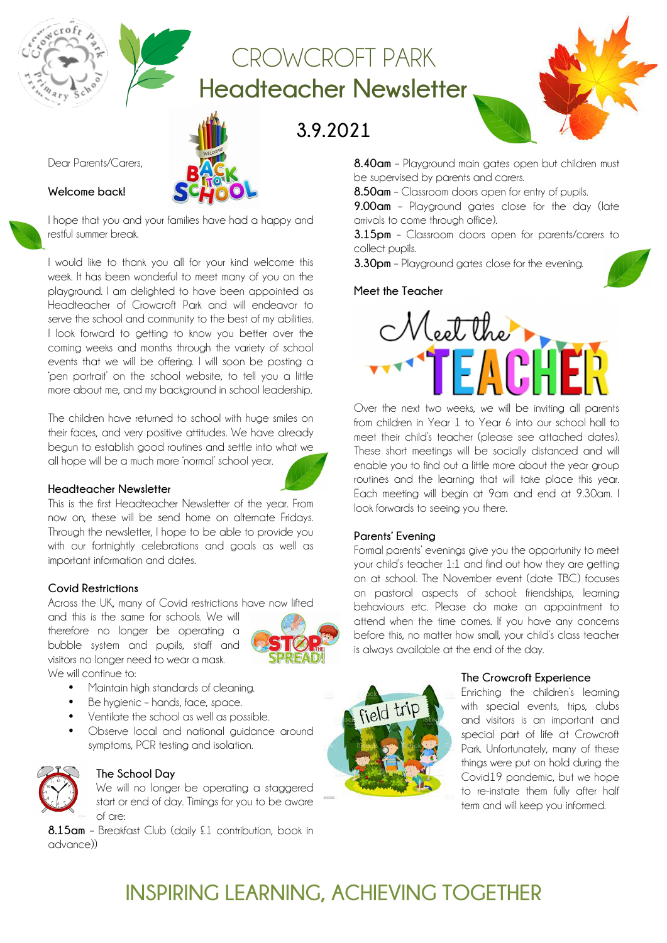## CROWCROFT PARK **Headteacher Newsletter**

**3.9.2021**

Dear Parents/Carers,

#### **Welcome back!**

I hope that you and your families have had a happy and restful summer break.

I would like to thank you all for your kind welcome this week. It has been wonderful to meet many of you on the playground. I am delighted to have been appointed as Headteacher of Crowcroft Park and will endeavor to serve the school and community to the best of my abilities. I look forward to getting to know you better over the coming weeks and months through the variety of school events that we will be offering. I will soon be posting a 'pen portrait' on the school website, to tell you a little more about me, and my background in school leadership.

The children have returned to school with huge smiles on their faces, and very positive attitudes. We have already begun to establish good routines and settle into what we all hope will be a much more 'normal' school year.

#### **Headteacher Newsletter**

This is the first Headteacher Newsletter of the year. From now on, these will be send home on alternate Fridays. Through the newsletter, I hope to be able to provide you with our fortnightly celebrations and goals as well as important information and dates.

#### **Covid Restrictions**

Across the UK, many of Covid restrictions have now lifted

and this is the same for schools. We will therefore no longer be operating a bubble system and pupils, staff and visitors no longer need to wear a mask.

We will continue to:

- Maintain high standards of cleaning.
- Be hygienic hands, face, space.
- Ventilate the school as well as possible.
- Observe local and national guidance around symptoms, PCR testing and isolation.



#### **The School Day**

We will no longer be operating a staggered start or end of day. Timings for you to be aware of are:

**8.15am** – Breakfast Club (daily £1 contribution, book in advance))



**8.40am** – Playaround main gates open but children must be supervised by parents and carers.

**8.50am** – Classroom doors open for entry of pupils.

**9.00am** – Playground gates close for the day (late arrivals to come through office).

**3.15pm** – Classroom doors open for parents/carers to collect pupils.

**3.30pm** – Playground gates close for the evening.

#### **Meet the Teacher**



Over the next two weeks, we will be inviting all parents from children in Year 1 to Year 6 into our school hall to meet their child's teacher (please see attached dates). These short meetings will be socially distanced and will enable you to find out a little more about the year group routines and the learning that will take place this year. Each meeting will begin at 9am and end at 9.30am. I look forwards to seeing you there.

#### **Parents' Evening**

Formal parents' evenings give you the opportunity to meet your child's teacher 1:1 and find out how they are getting on at school. The November event (date TBC) focuses on pastoral aspects of school: friendships, learning behaviours etc. Please do make an appointment to attend when the time comes. If you have any concerns before this, no matter how small, your child's class teacher is always available at the end of the day.



#### **The Crowcroft Experience**

Enriching the children's learning with special events, trips, clubs and visitors is an important and special part of life at Crowcroft Park. Unfortunately, many of these things were put on hold during the Covid19 pandemic, but we hope to re-instate them fully after half term and will keep you informed.

## **INSPIRING LEARNING, ACHIEVING TOGETHER**